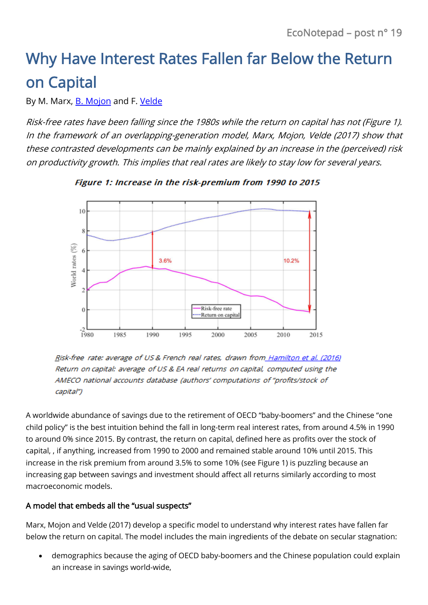## Why Have Interest Rates Fallen far Below the Return on Capital

By M. Marx, **B. [Mojon](https://www.banque-france.fr/economie/economistes-et-chercheurs/benoit-mojon)** and F. [Velde](https://www.chicagofed.org/Home/people/v/velde-francois)

Risk-free rates have been falling since the 1980s while the return on capital has not (Figure 1). In the framework of an overlapping-generation model, Marx, Mojon, Velde (2017) show that these contrasted developments can be mainly explained by an increase in the (perceived) risk on productivity growth. This implies that real rates are likely to stay low for several years.



Figure 1: Increase in the risk-premium from 1990 to 2015

Risk-free rate: average of US & French real rates, drawn from Hamilton et al. (2016) Return on capital: average of US & EA real returns on capital, computed using the AMECO national accounts database (authors' computations of "profits/stock of capital")

A worldwide abundance of savings due to the retirement of OECD "baby-boomers" and the Chinese "one child policy" is the best intuition behind the fall in long-term real interest rates, from around 4.5% in 1990 to around 0% since 2015. By contrast, the return on capital, defined here as profits over the stock of capital, , if anything, increased from 1990 to 2000 and remained stable around 10% until 2015. This increase in the risk premium from around 3.5% to some 10% (see Figure 1) is puzzling because an increasing gap between savings and investment should affect all returns similarly according to most macroeconomic models.

## A model that embeds all the "usual suspects"

Marx, Mojon and Velde (2017) develop a specific model to understand why interest rates have fallen far below the return on capital. The model includes the main ingredients of the debate on secular stagnation:

 demographics because the aging of OECD baby-boomers and the Chinese population could explain an increase in savings world-wide,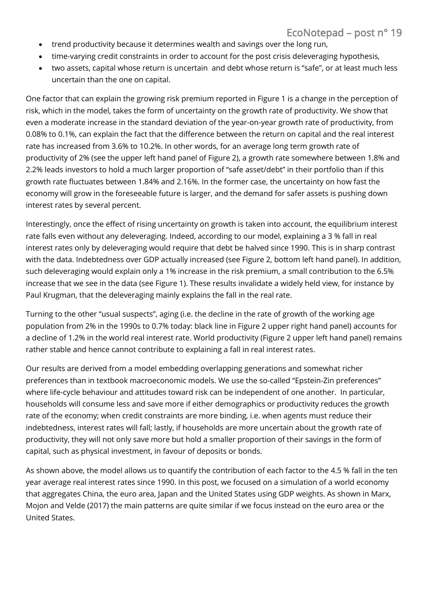- trend productivity because it determines wealth and savings over the long run,
- time-varying credit constraints in order to account for the post crisis deleveraging hypothesis,
- two assets, capital whose return is uncertain and debt whose return is "safe", or at least much less uncertain than the one on capital.

One factor that can explain the growing risk premium reported in Figure 1 is a change in the perception of risk, which in the model, takes the form of uncertainty on the growth rate of productivity. We show that even a moderate increase in the standard deviation of the year-on-year growth rate of productivity, from 0.08% to 0.1%, can explain the fact that the difference between the return on capital and the real interest rate has increased from 3.6% to 10.2%. In other words, for an average long term growth rate of productivity of 2% (see the upper left hand panel of Figure 2), a growth rate somewhere between 1.8% and 2.2% leads investors to hold a much larger proportion of "safe asset/debt" in their portfolio than if this growth rate fluctuates between 1.84% and 2.16%. In the former case, the uncertainty on how fast the economy will grow in the foreseeable future is larger, and the demand for safer assets is pushing down interest rates by several percent.

Interestingly, once the effect of rising uncertainty on growth is taken into account, the equilibrium interest rate falls even without any deleveraging. Indeed, according to our model, explaining a 3 % fall in real interest rates only by deleveraging would require that debt be halved since 1990. This is in sharp contrast with the data. Indebtedness over GDP actually increased (see Figure 2, bottom left hand panel). In addition, such deleveraging would explain only a 1% increase in the risk premium, a small contribution to the 6.5% increase that we see in the data (see Figure 1). These results invalidate a widely held view, for instance by Paul Krugman, that the deleveraging mainly explains the fall in the real rate.

Turning to the other "usual suspects", aging (i.e. the decline in the rate of growth of the working age population from 2% in the 1990s to 0.7% today: black line in Figure 2 upper right hand panel) accounts for a decline of 1.2% in the world real interest rate. World productivity (Figure 2 upper left hand panel) remains rather stable and hence cannot contribute to explaining a fall in real interest rates.

Our results are derived from a model embedding overlapping generations and somewhat richer preferences than in textbook macroeconomic models. We use the so-called "Epstein-Zin preferences" where life-cycle behaviour and attitudes toward risk can be independent of one another. In particular, households will consume less and save more if either demographics or productivity reduces the growth rate of the economy; when credit constraints are more binding, i.e. when agents must reduce their indebtedness, interest rates will fall; lastly, if households are more uncertain about the growth rate of productivity, they will not only save more but hold a smaller proportion of their savings in the form of capital, such as physical investment, in favour of deposits or bonds.

As shown above, the model allows us to quantify the contribution of each factor to the 4.5 % fall in the ten year average real interest rates since 1990. In this post, we focused on a simulation of a world economy that aggregates China, the euro area, Japan and the United States using GDP weights. As shown in Marx, Mojon and Velde (2017) the main patterns are quite similar if we focus instead on the euro area or the United States.